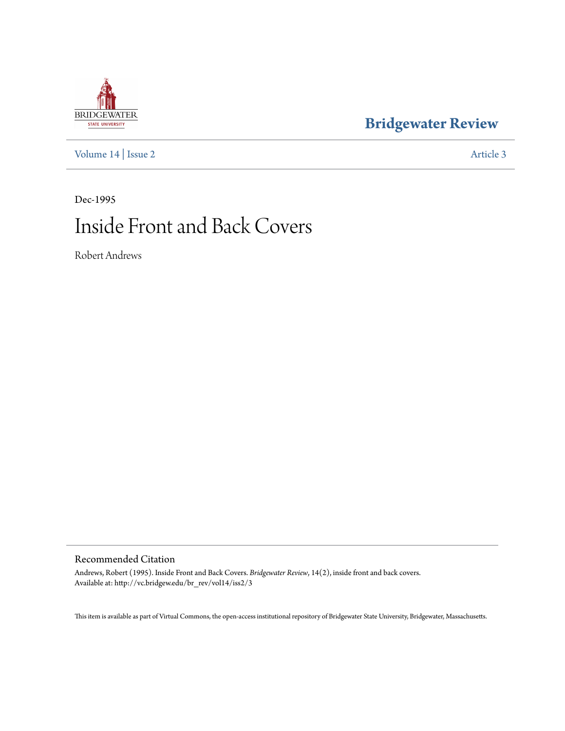## **[Bridgewater Review](http://vc.bridgew.edu/br_rev)**

[Volume 14](http://vc.bridgew.edu/br_rev/vol14) | [Issue 2](http://vc.bridgew.edu/br_rev/vol14/iss2) [Article 3](http://vc.bridgew.edu/br_rev/vol14/iss2/3)

## Dec-1995 Inside Front and Back Covers

Robert Andrews

## Recommended Citation

Andrews, Robert (1995). Inside Front and Back Covers. *Bridgewater Review*, 14(2), inside front and back covers. Available at: http://vc.bridgew.edu/br\_rev/vol14/iss2/3

This item is available as part of Virtual Commons, the open-access institutional repository of Bridgewater State University, Bridgewater, Massachusetts.

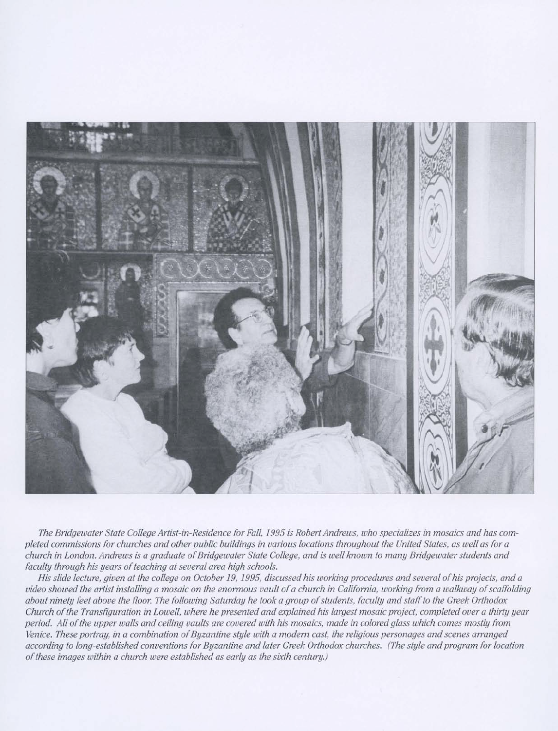

The Bridgewater State College Artist-in-Residence for Fall, 1995 is Robert Andrews, who specializes in mosaics and has completed commissions for churches and other public buildings in various locations throughout the United States, as well as for a church in London. Andrews is a graduate of Bridgewater State College, and is well known to many Bridgewater students and *faculty through his years ofteaching atseveral area high schools.*

His slide lecture, given at the college on October 19, 1995, discussed his working procedures and several of his projects, and a video showed the artist installing a mosaic on the enormous vault of a church in California, working from a walkway of scaffolding about ninety feet above the floor. The following Saturday he took a group of students, faculty and staff to the Greek Orthodox Church of the Transfiguration in Lowell, where he presented and explained his largest mosaic project, completed over a thirty year period. All of the upper walls and ceiling vaults are covered with his mosaics, made in colored glass which comes mostly from Venice. These portray, in a combination of Byzantine style with a modern cast, the religious personages and scenes arranged according to long-established conventions for Byzantine and later Greek Orthodox churches. (The style and program for location *ofthese images within a church were established as early as the sixth century.)*